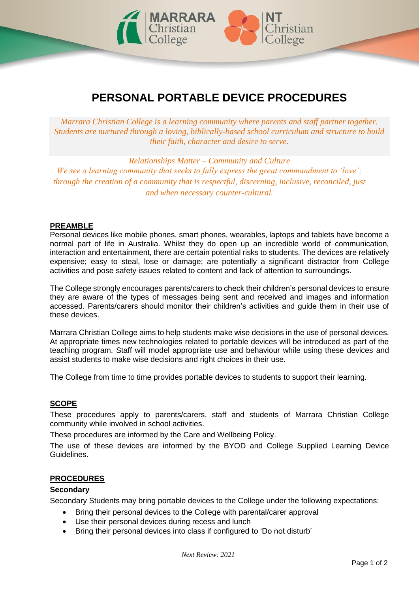

# **PERSONAL PORTABLE DEVICE PROCEDURES**

*Marrara Christian College is a learning community where parents and staff partner together. Students are nurtured through a loving, biblically-based school curriculum and structure to build their faith, character and desire to serve.*

*Relationships Matter – Community and Culture We see a learning community that seeks to fully express the great commandment to 'love'; through the creation of a community that is respectful, discerning, inclusive, reconciled, just and when necessary counter-cultural.*

# **PREAMBLE**

Personal devices like mobile phones, smart phones, wearables, laptops and tablets have become a normal part of life in Australia. Whilst they do open up an incredible world of communication, interaction and entertainment, there are certain potential risks to students. The devices are relatively expensive; easy to steal, lose or damage; are potentially a significant distractor from College activities and pose safety issues related to content and lack of attention to surroundings.

The College strongly encourages parents/carers to check their children's personal devices to ensure they are aware of the types of messages being sent and received and images and information accessed. Parents/carers should monitor their children's activities and guide them in their use of these devices.

Marrara Christian College aims to help students make wise decisions in the use of personal devices. At appropriate times new technologies related to portable devices will be introduced as part of the teaching program. Staff will model appropriate use and behaviour while using these devices and assist students to make wise decisions and right choices in their use.

The College from time to time provides portable devices to students to support their learning.

### **SCOPE**

These procedures apply to parents/carers, staff and students of Marrara Christian College community while involved in school activities.

These procedures are informed by the Care and Wellbeing Policy.

The use of these devices are informed by the BYOD and College Supplied Learning Device Guidelines.

#### **PROCEDURES**

### **Secondary**

Secondary Students may bring portable devices to the College under the following expectations:

- Bring their personal devices to the College with parental/carer approval
- Use their personal devices during recess and lunch
- Bring their personal devices into class if configured to 'Do not disturb'